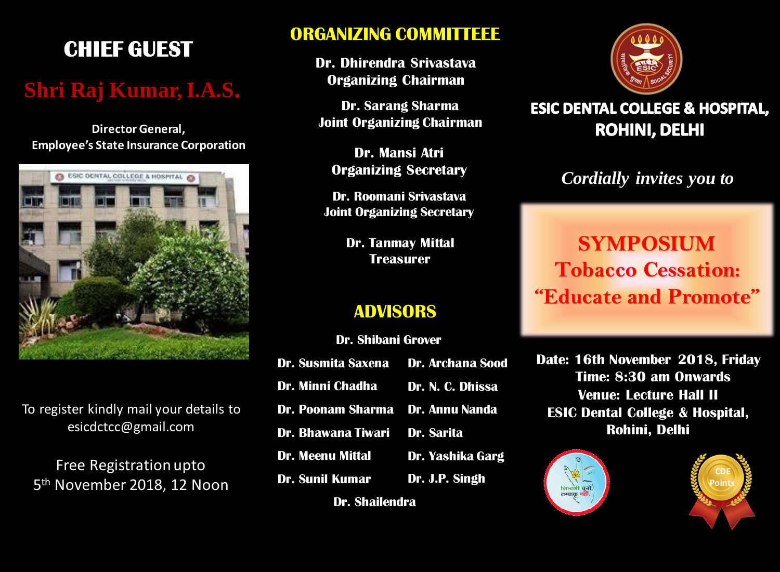## **CHIEF GUEST**

## **Shri Raj Kumar, I.A.S.**

**Director General, Employee's State Insurance Corporation**



To register kindly mail your details to esicdctcc@gmail.com

Free Registration upto 5 th November 2018, 12 Noon

#### **ORGANIZING COMMITTEEE**

**Dr. Dhirendra Srivastava Organizing Chairman**

**Dr. Sarang Sharma Joint Organizing Chairman**

**Dr. Mansi Atri Organizing Secretary**

**Dr. Roomani Srivastava Joint Organizing Secretary**

> **Dr. Tanmay Mittal Treasurer**

#### **ADVISORS**

**Dr. Shibani Grover**

| Dr. Susmita Saxena Dr. Archana Sood     |  |
|-----------------------------------------|--|
| Dr. Minni Chadha Dr. N. C. Dhissa       |  |
| <b>Dr. Poonam Sharma Dr. Annu Nanda</b> |  |
| Dr. Bhawana Tiwari Dr. Sarita           |  |
| Dr. Meenu Mittal Dr. Yashika Garg       |  |
| <b>Dr. Sunil Kumar</b> Dr. J.P. Singh   |  |
| <b>Dr. Shailendra</b>                   |  |



#### **ESIC DENTAL COLLEGE & HOSPITAL, ROHINI, DELHI**

### *Cordially invites you to*

# **SYMPOSIUM Tobacco Cessation: "Educate and Promote"**

**Date: 16th November 2018, Friday Time: 8:30 am Onwards Venue: Lecture Hall II ESIC Dental College & Hospital, Rohini, Delhi**